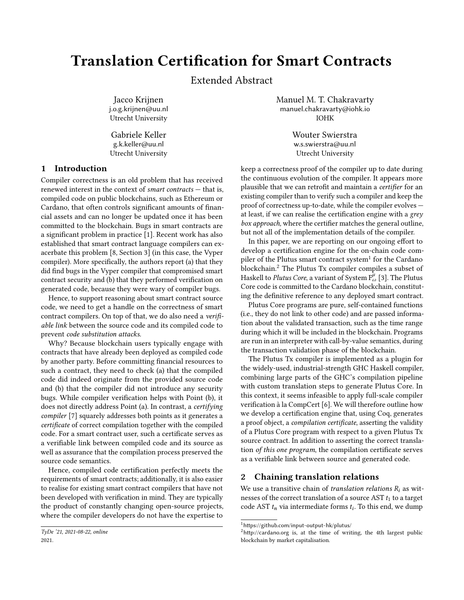# Translation Certification for Smart Contracts

Extended Abstract

Jacco Krijnen j.o.g.krijnen@uu.nl Utrecht University

Gabriele Keller g.k.keller@uu.nl Utrecht University

## 1 Introduction

Compiler correctness is an old problem that has received renewed interest in the context of smart contracts — that is, compiled code on public blockchains, such as Ethereum or Cardano, that often controls significant amounts of financial assets and can no longer be updated once it has been committed to the blockchain. Bugs in smart contracts are a significant problem in practice [\[1\]](#page-3-0). Recent work has also established that smart contract language compilers can exacerbate this problem [\[8,](#page-3-1) Section 3] (in this case, the Vyper compiler). More specifically, the authors report (a) that they did find bugs in the Vyper compiler that compromised smart contract security and (b) that they performed verification on generated code, because they were wary of compiler bugs.

Hence, to support reasoning about smart contract source code, we need to get a handle on the correctness of smart contract compilers. On top of that, we do also need a verifiable link between the source code and its compiled code to prevent code substitution attacks.

Why? Because blockchain users typically engage with contracts that have already been deployed as compiled code by another party. Before committing financial resources to such a contract, they need to check (a) that the compiled code did indeed originate from the provided source code and (b) that the compiler did not introduce any security bugs. While compiler verification helps with Point (b), it does not directly address Point (a). In contrast, a certifying compiler [\[7\]](#page-3-2) squarely addresses both points as it generates a certificate of correct compilation together with the compiled code. For a smart contract user, such a certificate serves as a verifiable link between compiled code and its source as well as assurance that the compilation process preserved the source code semantics.

Hence, compiled code certification perfectly meets the requirements of smart contracts; additionally, it is also easier to realise for existing smart contract compilers that have not been developed with verification in mind. They are typically the product of constantly changing open-source projects, where the compiler developers do not have the expertise to

Manuel M. T. Chakravarty manuel.chakravarty@iohk.io IOHK

> Wouter Swierstra w.s.swierstra@uu.nl Utrecht University

keep a correctness proof of the compiler up to date during the continuous evolution of the compiler. It appears more plausible that we can retrofit and maintain a certifier for an existing compiler than to verify such a compiler and keep the proof of correctness up-to-date, while the compiler evolves at least, if we can realise the certification engine with a grey box approach, where the certifier matches the general outline, but not all of the implementation details of the compiler.

In this paper, we are reporting on our ongoing effort to develop a certification engine for the on-chain code compiler of the Plutus smart contract system $^{\rm l}$  for the Cardano blockchain.[2](#page-0-1) The Plutus Tx compiler compiles a subset of  $H$ askell to *Plutus Core*, a variant of System  $F^{\mu}_{\omega}$  [\[3\]](#page-3-3). The Plutus Core code is committed to the Cardano blockchain, constituting the definitive reference to any deployed smart contract.

Plutus Core programs are pure, self-contained functions (i.e., they do not link to other code) and are passed information about the validated transaction, such as the time range during which it will be included in the blockchain. Programs are run in an interpreter with call-by-value semantics, during the transaction validation phase of the blockchain.

The Plutus Tx compiler is implemented as a plugin for the widely-used, industrial-strength GHC Haskell compiler, combining large parts of the GHC's compilation pipeline with custom translation steps to generate Plutus Core. In this context, it seems infeasible to apply full-scale compiler verification à la CompCert [\[6\]](#page-3-4). We will therefore outline how we develop a certification engine that, using Coq, generates a proof object, a compilation certificate, asserting the validity of a Plutus Core program with respect to a given Plutus Tx source contract. In addition to asserting the correct translation of this one program, the compilation certificate serves as a verifiable link between source and generated code.

### 2 Chaining translation relations

We use a transitive chain of *translation relations*  $R_i$  as witnesses of the correct translation of a source AST  $t_1$  to a target code AST  $t_n$  via intermediate forms  $t_i$ . To this end, we dump

TyDe '21, 2021-08-22, online 2021.

<span id="page-0-0"></span><sup>1</sup><https://github.com/input-output-hk/plutus/>

<span id="page-0-1"></span><sup>2</sup><http://cardano.org> is, at the time of writing, the 4th largest public blockchain by market capitalisation.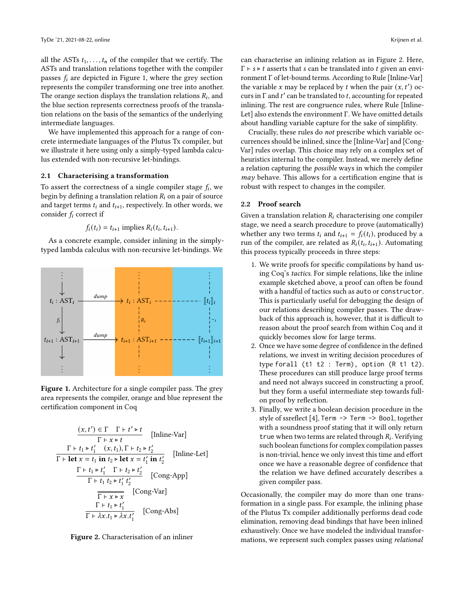all the ASTs  $t_1, \ldots, t_n$  of the compiler that we certify. The ASTs and translation relations together with the compiler passes  $f_i$  are depicted in Figure [1,](#page-1-0) where the grey section represents the compiler transforming one tree into another. The orange section displays the translation relations  $R_i$ , and the blue section represents correctness proofs of the translation relations on the basis of the semantics of the underlying intermediate languages.

We have implemented this approach for a range of concrete intermediate languages of the Plutus Tx compiler, but we illustrate it here using only a simply-typed lambda calculus extended with non-recursive let-bindings.

#### 2.1 Characterising a transformation

To assert the correctness of a single compiler stage  $f_i$ , we begin by defining a translation relation  $R_i$  on a pair of source and target terms  $t_i$  and  $t_{i+1}$ , respectively. In other words, we consider  $f_i$  correct if

$$
f_i(t_i) = t_{i+1}
$$
 implies  $R_i(t_i, t_{i+1})$ .

As a concrete example, consider inlining in the simplytyped lambda calculus with non-recursive let-bindings. We

<span id="page-1-0"></span>

Figure 1. Architecture for a single compiler pass. The grey area represents the compiler, orange and blue represent the certification component in Coq

<span id="page-1-1"></span>
$$
\frac{(x, t') \in \Gamma \quad \Gamma + t' \triangleright t}{\Gamma + x \triangleright t} \quad \text{[Inline-Var]}
$$
\n
$$
\frac{\Gamma + t_1 \triangleright t'_1 \quad (x, t_1), \Gamma + t_2 \triangleright t'_2}{\Gamma + \text{let } x = t_1 \text{ in } t_2 \triangleright \text{ let } x = t'_1 \text{ in } t'_2} \quad \text{[Inline-Let]}
$$
\n
$$
\frac{\Gamma + t_1 \triangleright t'_1 \quad \Gamma + t_2 \triangleright t'_2}{\Gamma + t_1 \ t'_2 \triangleright t'_1 \ t'_2} \quad \text{[Cong-App]}
$$
\n
$$
\frac{\Gamma + t_1 \triangleright t'_1 \quad \Gamma + x \triangleright x}{\Gamma + x \triangleright x} \quad \text{[Cong-Abs]}
$$
\n
$$
\frac{\Gamma + t_1 \triangleright t'_1}{\Gamma + \lambda x \cdot t_1 \triangleright \lambda x \cdot t'_1} \quad \text{[Cong-Abs]}
$$



can characterise an inlining relation as in Figure [2.](#page-1-1) Here,  $\Gamma \vdash s \triangleright t$  asserts that s can be translated into t given an environment Γ of let-bound terms. According to Rule [Inline-Var] the variable  $x$  may be replaced by  $t$  when the pair  $(x, t')$  occurs in  $\Gamma$  and  $t'$  can be translated to  $t$ , accounting for repeated inlining. The rest are congruence rules, where Rule [Inline-Let] also extends the environment Γ. We have omitted details about handling variable capture for the sake of simplifity.

Crucially, these rules do not prescribe which variable occurrences should be inlined, since the [Inline-Var] and [Cong-Var] rules overlap. This choice may rely on a complex set of heuristics internal to the compiler. Instead, we merely define a relation capturing the possible ways in which the compiler may behave. This allows for a certification engine that is robust with respect to changes in the compiler.

#### 2.2 Proof search

Given a translation relation  $R_i$  characterising one compiler stage, we need a search procedure to prove (automatically) whether any two terms  $t_i$  and  $t_{i+1} = f_i(t_i)$ , produced by a run of the compiler, are related as  $R_i(t_i, t_{i+1})$ . Automating this process typically proceeds in three steps:

- 1. We write proofs for specific compilations by hand using Coq's tactics. For simple relations, like the inline example sketched above, a proof can often be found with a handful of tactics such as auto or constructor. This is particularly useful for debugging the design of our relations describing compiler passes. The drawback of this approach is, however, that it is difficult to reason about the proof search from within Coq and it quickly becomes slow for large terms.
- 2. Once we have some degree of confidence in the defined relations, we invest in writing decision procedures of type forall (t1 t2 : Term), option (R t1 t2). These procedures can still produce large proof terms and need not always succeed in constructing a proof, but they form a useful intermediate step towards fullon proof by reflection.
- 3. Finally, we write a boolean decision procedure in the style of ssreflect [\[4\]](#page-3-5), Term -> Term -> Bool, together with a soundness proof stating that it will only return true when two terms are related through  $R_i$ . Verifying such boolean functions for complex compilation passes is non-trivial, hence we only invest this time and effort once we have a reasonable degree of confidence that the relation we have defined accurately describes a given compiler pass.

Occasionally, the compiler may do more than one transformation in a single pass. For example, the inlining phase of the Plutus Tx compiler additionally performs dead code elimination, removing dead bindings that have been inlined exhaustively. Once we have modeled the individual transformations, we represent such complex passes using relational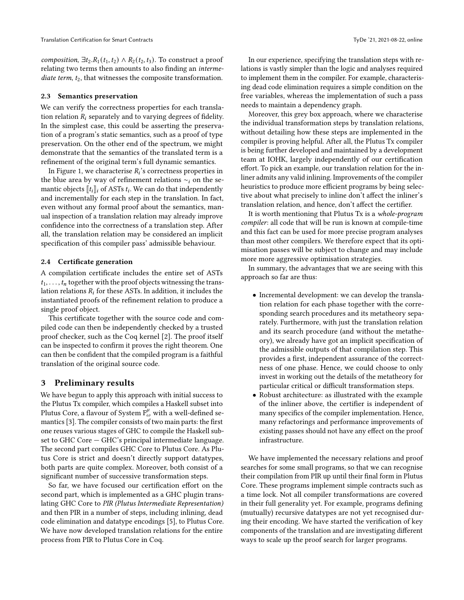composition,  $\exists t_2 \, R_1(t_1, t_2) \wedge R_2(t_2, t_3)$ . To construct a proof relating two terms then amounts to also finding an intermediate term,  $t_2$ , that witnesses the composite transformation.

#### 2.3 Semantics preservation

We can verify the correctness properties for each translation relation  $R_i$  separately and to varying degrees of fidelity. In the simplest case, this could be asserting the preservation of a program's static semantics, such as a proof of type preservation. On the other end of the spectrum, we might demonstrate that the semantics of the translated term is a refinement of the original term's full dynamic semantics.

In Figure [1,](#page-1-0) we characterise  $R_i$ 's correctness properties in the blue area by way of refinement relations  $\sim$ <sub>i</sub> on the semantic objects  $[[t_{i}]]_i$  of ASTs  $t_i$ . We can do that independently and incrementally for each step in the translation. In fact, even without any formal proof about the semantics, manual inspection of a translation relation may already improve confidence into the correctness of a translation step. After all, the translation relation may be considered an implicit specification of this compiler pass' admissible behaviour.

#### 2.4 Certificate generation

A compilation certificate includes the entire set of ASTs  $t_1, \ldots, t_n$  together with the proof objects witnessing the translation relations  $R_i$  for these ASTs. In addition, it includes the instantiated proofs of the refinement relation to produce a single proof object.

This certificate together with the source code and compiled code can then be independently checked by a trusted proof checker, such as the Coq kernel [\[2\]](#page-3-6). The proof itself can be inspected to confirm it proves the right theorem. One can then be confident that the compiled program is a faithful translation of the original source code.

#### 3 Preliminary results

We have begun to apply this approach with initial success to the Plutus Tx compiler, which compiles a Haskell subset into Plutus Core, a flavour of System  $F^{\mu}_{\omega}$  with a well-defined semantics [\[3\]](#page-3-3). The compiler consists of two main parts: the first one reuses various stages of GHC to compile the Haskell subset to GHC Core — GHC's principal intermediate language. The second part compiles GHC Core to Plutus Core. As Plutus Core is strict and doesn't directly support datatypes, both parts are quite complex. Moreover, both consist of a significant number of successive transformation steps.

So far, we have focused our certification effort on the second part, which is implemented as a GHC plugin translating GHC Core to PIR (Plutus Intermediate Representation) and then PIR in a number of steps, including inlining, dead code elimination and datatype encodings [\[5\]](#page-3-7), to Plutus Core. We have now developed translation relations for the entire process from PIR to Plutus Core in Coq.

In our experience, specifying the translation steps with relations is vastly simpler than the logic and analyses required to implement them in the compiler. For example, characterising dead code elimination requires a simple condition on the free variables, whereas the implementation of such a pass needs to maintain a dependency graph.

Moreover, this grey box approach, where we characterise the individual transformation steps by translation relations, without detailing how these steps are implemented in the compiler is proving helpful. After all, the Plutus Tx compiler is being further developed and maintained by a development team at IOHK, largely independently of our certification effort. To pick an example, our translation relation for the inliner admits any valid inlining. Improvements of the compiler heuristics to produce more efficient programs by being selective about what precisely to inline don't affect the inliner's translation relation, and hence, don't affect the certifier.

It is worth mentioning that Plutus Tx is a whole-program compiler: all code that will be run is known at compile-time and this fact can be used for more precise program analyses than most other compilers. We therefore expect that its optimisation passes will be subject to change and may include more more aggressive optimisation strategies.

In summary, the advantages that we are seeing with this approach so far are thus:

- Incremental development: we can develop the translation relation for each phase together with the corresponding search procedures and its metatheory separately. Furthermore, with just the translation relation and its search procedure (and without the metatheory), we already have got an implicit specification of the admissible outputs of that compilation step. This provides a first, independent assurance of the correctness of one phase. Hence, we could choose to only invest in working out the details of the metatheory for particular critical or difficult transformation steps.
- Robust architecture: as illustrated with the example of the inliner above, the certifier is independent of many specifics of the compiler implementation. Hence, many refactorings and performance improvements of existing passes should not have any effect on the proof infrastructure.

We have implemented the necessary relations and proof searches for some small programs, so that we can recognise their compilation from PIR up until their final form in Plutus Core. These programs implement simple contracts such as a time lock. Not all compiler transformations are covered in their full generality yet. For example, programs defining (mutually) recursive datatypes are not yet recognised during their encoding. We have started the verification of key components of the translation and are investigating different ways to scale up the proof search for larger programs.